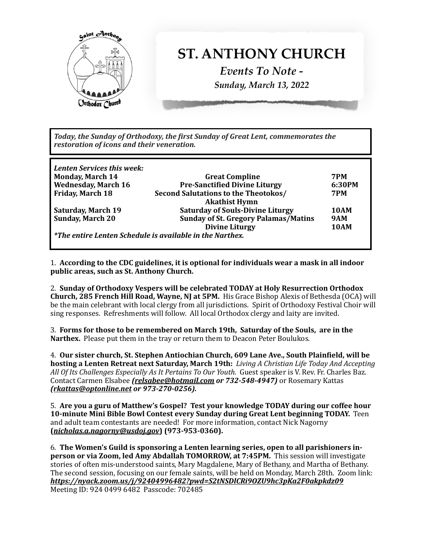

Today, the Sunday of Orthodoxy, the first Sunday of Great Lent, commemorates the *restoration of icons and their veneration.* 

| Lenten Services this week:<br>Monday, March 14 | <b>Great Compline</b>                                                 | 7PM         |
|------------------------------------------------|-----------------------------------------------------------------------|-------------|
| <b>Wednesday, March 16</b>                     | <b>Pre-Sanctified Divine Liturgy</b>                                  | 6:30PM      |
| Friday, March 18                               | <b>Second Salutations to the Theotokos/</b>                           | <b>7PM</b>  |
|                                                | <b>Akathist Hymn</b>                                                  |             |
| Saturday, March 19                             | <b>Saturday of Souls-Divine Liturgy</b>                               | <b>10AM</b> |
| Sunday, March 20                               | <b>Sunday of St. Gregory Palamas/Matins</b>                           | <b>9AM</b>  |
|                                                | <b>Divine Liturgy</b>                                                 | <b>10AM</b> |
|                                                | $\mathsf{I}$ *The entire Lenten Schedule is available in the Narthex. |             |

1. According to the CDC guidelines, it is optional for individuals wear a mask in all indoor **public areas, such as St. Anthony Church.** 

2. Sunday of Orthodoxy Vespers will be celebrated TODAY at Holy Resurrection Orthodox **Church, 285 French Hill Road, Wayne, NJ at 5PM.** His Grace Bishop Alexis of Bethesda (OCA) will be the main celebrant with local clergy from all jurisdictions. Spirit of Orthodoxy Festival Choir will sing responses. Refreshments will follow. All local Orthodox clergy and laity are invited.

3. Forms for those to be remembered on March 19th, Saturday of the Souls, are in the Narthex. Please put them in the tray or return them to Deacon Peter Boulukos.

4. Our sister church, St. Stephen Antiochian Church, 609 Lane Ave., South Plainfield, will be **hosting a Lenten Retreat next Saturday, March 19th:** *Living A Christian Life Today And Accepting* All Of Its Challenges Especially As It Pertains To Our Youth. Guest speaker is V. Rev. Fr. Charles Baz. Contact Carmen Elsabee *[\(relsabee@hotmail.com](mailto:relsabee@hotmail.com)* or 732-548-4947) or Rosemary Kattas *[\(rkattas@optonline.net](mailto:rkattas@optonline.net) or 973-270-0256).*

5. Are you a guru of Matthew's Gospel? Test your knowledge TODAY during our coffee hour **10-minute Mini Bible Bowl Contest every Sunday during Great Lent beginning TODAY.** Teen and adult team contestants are needed! For more information, contact Nick Nagorny **(***[nicholas.a.nagorny@usdoj.gov](mailto:nicholas.a.nagorny@usdoj.gov)***) (973-953-0360).**

6. The Women's Guild is sponsoring a Lenten learning series, open to all parishioners in**person or via Zoom, led Amy Abdallah TOMORROW, at 7:45PM.** This session will investigate stories of often mis-understood saints, Mary Magdalene, Mary of Bethany, and Martha of Bethany. The second session, focusing on our female saints, will be held on Monday, March 28th. Zoom link: *<https://nyack.zoom.us/j/92404996482?pwd=S2tNSDlCRi9OZU9hc3pKa2F0akpkdz09>* Meeting ID: 924 0499 6482 Passcode: 702485